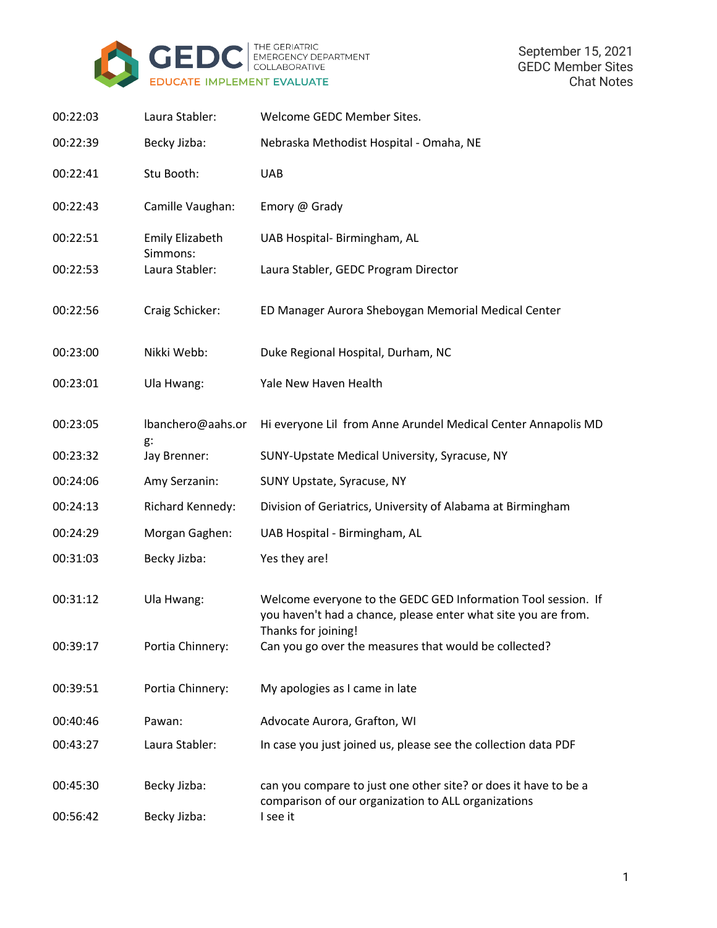

| 00:22:03 | Laura Stabler:                     | Welcome GEDC Member Sites.                                                                                                      |
|----------|------------------------------------|---------------------------------------------------------------------------------------------------------------------------------|
| 00:22:39 | Becky Jizba:                       | Nebraska Methodist Hospital - Omaha, NE                                                                                         |
| 00:22:41 | Stu Booth:                         | <b>UAB</b>                                                                                                                      |
| 00:22:43 | Camille Vaughan:                   | Emory @ Grady                                                                                                                   |
| 00:22:51 | <b>Emily Elizabeth</b><br>Simmons: | UAB Hospital- Birmingham, AL                                                                                                    |
| 00:22:53 | Laura Stabler:                     | Laura Stabler, GEDC Program Director                                                                                            |
| 00:22:56 | Craig Schicker:                    | ED Manager Aurora Sheboygan Memorial Medical Center                                                                             |
| 00:23:00 | Nikki Webb:                        | Duke Regional Hospital, Durham, NC                                                                                              |
| 00:23:01 | Ula Hwang:                         | Yale New Haven Health                                                                                                           |
| 00:23:05 | lbanchero@aahs.or<br>g:            | Hi everyone Lil from Anne Arundel Medical Center Annapolis MD                                                                   |
| 00:23:32 | Jay Brenner:                       | SUNY-Upstate Medical University, Syracuse, NY                                                                                   |
| 00:24:06 | Amy Serzanin:                      | SUNY Upstate, Syracuse, NY                                                                                                      |
| 00:24:13 | Richard Kennedy:                   | Division of Geriatrics, University of Alabama at Birmingham                                                                     |
| 00:24:29 | Morgan Gaghen:                     | UAB Hospital - Birmingham, AL                                                                                                   |
| 00:31:03 | Becky Jizba:                       | Yes they are!                                                                                                                   |
| 00:31:12 | Ula Hwang:                         | Welcome everyone to the GEDC GED Information Tool session. If<br>you haven't had a chance, please enter what site you are from. |
| 00:39:17 | Portia Chinnery:                   | Thanks for joining!<br>Can you go over the measures that would be collected?                                                    |
| 00:39:51 | Portia Chinnery:                   | My apologies as I came in late                                                                                                  |
| 00:40:46 | Pawan:                             | Advocate Aurora, Grafton, WI                                                                                                    |
| 00:43:27 | Laura Stabler:                     | In case you just joined us, please see the collection data PDF                                                                  |
| 00:45:30 | Becky Jizba:                       | can you compare to just one other site? or does it have to be a<br>comparison of our organization to ALL organizations          |
| 00:56:42 | Becky Jizba:                       | I see it                                                                                                                        |